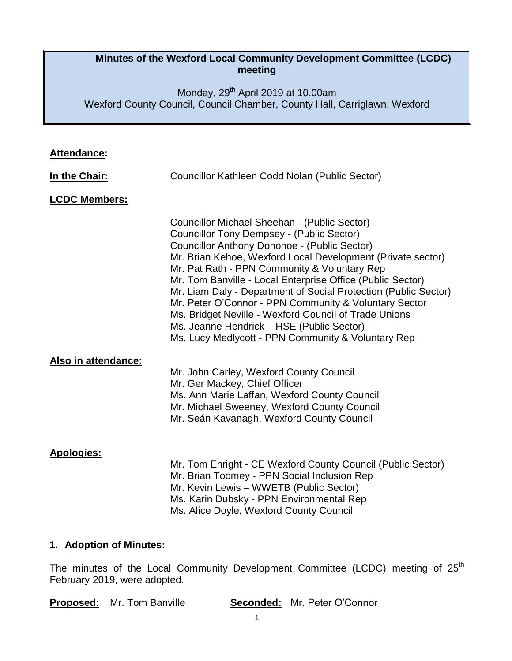## **Minutes of the Wexford Local Community Development Committee (LCDC) meeting**

Monday, 29<sup>th</sup> April 2019 at 10.00am Wexford County Council, Council Chamber, County Hall, Carriglawn, Wexford

| Attendance:             |                                                                                                                                                                                                                                                                                                                                                                                                                                                                                                                                                                                                                              |  |  |
|-------------------------|------------------------------------------------------------------------------------------------------------------------------------------------------------------------------------------------------------------------------------------------------------------------------------------------------------------------------------------------------------------------------------------------------------------------------------------------------------------------------------------------------------------------------------------------------------------------------------------------------------------------------|--|--|
| In the Chair:           | Councillor Kathleen Codd Nolan (Public Sector)                                                                                                                                                                                                                                                                                                                                                                                                                                                                                                                                                                               |  |  |
| <b>LCDC Members:</b>    |                                                                                                                                                                                                                                                                                                                                                                                                                                                                                                                                                                                                                              |  |  |
|                         | Councillor Michael Sheehan - (Public Sector)<br><b>Councillor Tony Dempsey - (Public Sector)</b><br><b>Councillor Anthony Donohoe - (Public Sector)</b><br>Mr. Brian Kehoe, Wexford Local Development (Private sector)<br>Mr. Pat Rath - PPN Community & Voluntary Rep<br>Mr. Tom Banville - Local Enterprise Office (Public Sector)<br>Mr. Liam Daly - Department of Social Protection (Public Sector)<br>Mr. Peter O'Connor - PPN Community & Voluntary Sector<br>Ms. Bridget Neville - Wexford Council of Trade Unions<br>Ms. Jeanne Hendrick - HSE (Public Sector)<br>Ms. Lucy Medlycott - PPN Community & Voluntary Rep |  |  |
| Also in attendance:     | Mr. John Carley, Wexford County Council<br>Mr. Ger Mackey, Chief Officer<br>Ms. Ann Marie Laffan, Wexford County Council<br>Mr. Michael Sweeney, Wexford County Council<br>Mr. Seán Kavanagh, Wexford County Council                                                                                                                                                                                                                                                                                                                                                                                                         |  |  |
| <b>Apologies:</b>       | Mr. Tom Enright - CE Wexford County Council (Public Sector)<br>Mr. Brian Toomey - PPN Social Inclusion Rep<br>Mr. Kevin Lewis - WWETB (Public Sector)<br>Ms. Karin Dubsky - PPN Environmental Rep<br>Ms. Alice Doyle, Wexford County Council                                                                                                                                                                                                                                                                                                                                                                                 |  |  |
| 1. Adoption of Minutes: |                                                                                                                                                                                                                                                                                                                                                                                                                                                                                                                                                                                                                              |  |  |

The minutes of the Local Community Development Committee (LCDC) meeting of 25<sup>th</sup> February 2019, were adopted.

|  | <b>Proposed:</b> Mr. Tom Banville |  | <b>Seconded:</b> Mr. Peter O'Connor |
|--|-----------------------------------|--|-------------------------------------|
|--|-----------------------------------|--|-------------------------------------|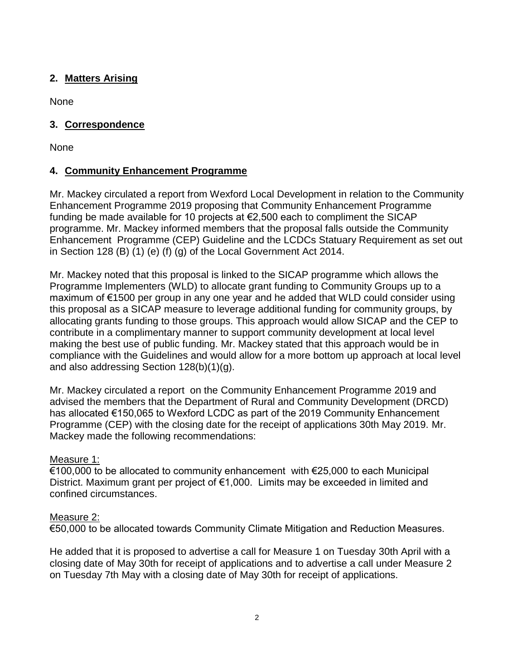## **2. Matters Arising**

None

## **3. Correspondence**

None

# **4. Community Enhancement Programme**

Mr. Mackey circulated a report from Wexford Local Development in relation to the Community Enhancement Programme 2019 proposing that Community Enhancement Programme funding be made available for 10 projects at  $E2,500$  each to compliment the SICAP programme. Mr. Mackey informed members that the proposal falls outside the Community Enhancement Programme (CEP) Guideline and the LCDCs Statuary Requirement as set out in Section 128 (B) (1) (e) (f) (g) of the Local Government Act 2014.

Mr. Mackey noted that this proposal is linked to the SICAP programme which allows the Programme Implementers (WLD) to allocate grant funding to Community Groups up to a maximum of €1500 per group in any one year and he added that WLD could consider using this proposal as a SICAP measure to leverage additional funding for community groups, by allocating grants funding to those groups. This approach would allow SICAP and the CEP to contribute in a complimentary manner to support community development at local level making the best use of public funding. Mr. Mackey stated that this approach would be in compliance with the Guidelines and would allow for a more bottom up approach at local level and also addressing Section 128(b)(1)(g).

Mr. Mackey circulated a report on the Community Enhancement Programme 2019 and advised the members that the Department of Rural and Community Development (DRCD) has allocated €150,065 to Wexford LCDC as part of the 2019 Community Enhancement Programme (CEP) with the closing date for the receipt of applications 30th May 2019. Mr. Mackey made the following recommendations:

### Measure 1:

€100,000 to be allocated to community enhancement with €25,000 to each Municipal District. Maximum grant per project of €1,000. Limits may be exceeded in limited and confined circumstances.

### Measure 2:

€50,000 to be allocated towards Community Climate Mitigation and Reduction Measures.

He added that it is proposed to advertise a call for Measure 1 on Tuesday 30th April with a closing date of May 30th for receipt of applications and to advertise a call under Measure 2 on Tuesday 7th May with a closing date of May 30th for receipt of applications.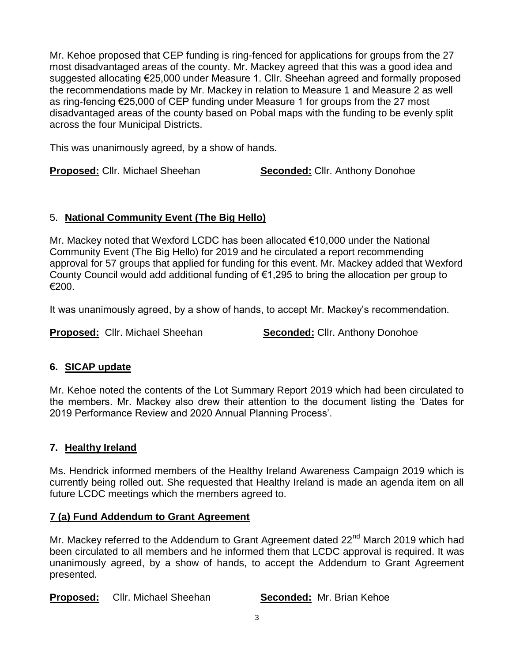Mr. Kehoe proposed that CEP funding is ring-fenced for applications for groups from the 27 most disadvantaged areas of the county. Mr. Mackey agreed that this was a good idea and suggested allocating €25,000 under Measure 1. Cllr. Sheehan agreed and formally proposed the recommendations made by Mr. Mackey in relation to Measure 1 and Measure 2 as well as ring-fencing €25,000 of CEP funding under Measure 1 for groups from the 27 most disadvantaged areas of the county based on Pobal maps with the funding to be evenly split across the four Municipal Districts.

This was unanimously agreed, by a show of hands.

**Proposed:** Cllr. Michael Sheehan **Seconded:** Cllr. Anthony Donohoe

## 5. **National Community Event (The Big Hello)**

Mr. Mackey noted that Wexford LCDC has been allocated €10,000 under the National Community Event (The Big Hello) for 2019 and he circulated a report recommending approval for 57 groups that applied for funding for this event. Mr. Mackey added that Wexford County Council would add additional funding of €1,295 to bring the allocation per group to €200.

It was unanimously agreed, by a show of hands, to accept Mr. Mackey's recommendation.

**Proposed:** Cllr. Michael Sheehan **Seconded:** Cllr. Anthony Donohoe

# **6. SICAP update**

Mr. Kehoe noted the contents of the Lot Summary Report 2019 which had been circulated to the members. Mr. Mackey also drew their attention to the document listing the 'Dates for 2019 Performance Review and 2020 Annual Planning Process'.

### **7. Healthy Ireland**

Ms. Hendrick informed members of the Healthy Ireland Awareness Campaign 2019 which is currently being rolled out. She requested that Healthy Ireland is made an agenda item on all future LCDC meetings which the members agreed to.

### **7 (a) Fund Addendum to Grant Agreement**

Mr. Mackey referred to the Addendum to Grant Agreement dated 22<sup>nd</sup> March 2019 which had been circulated to all members and he informed them that LCDC approval is required. It was unanimously agreed, by a show of hands, to accept the Addendum to Grant Agreement presented.

**Proposed:** Cllr. Michael Sheehan **Seconded:** Mr. Brian Kehoe